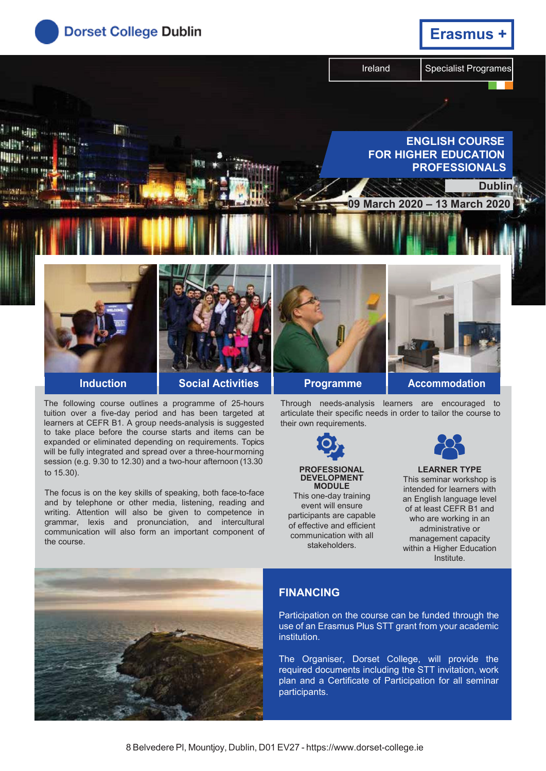